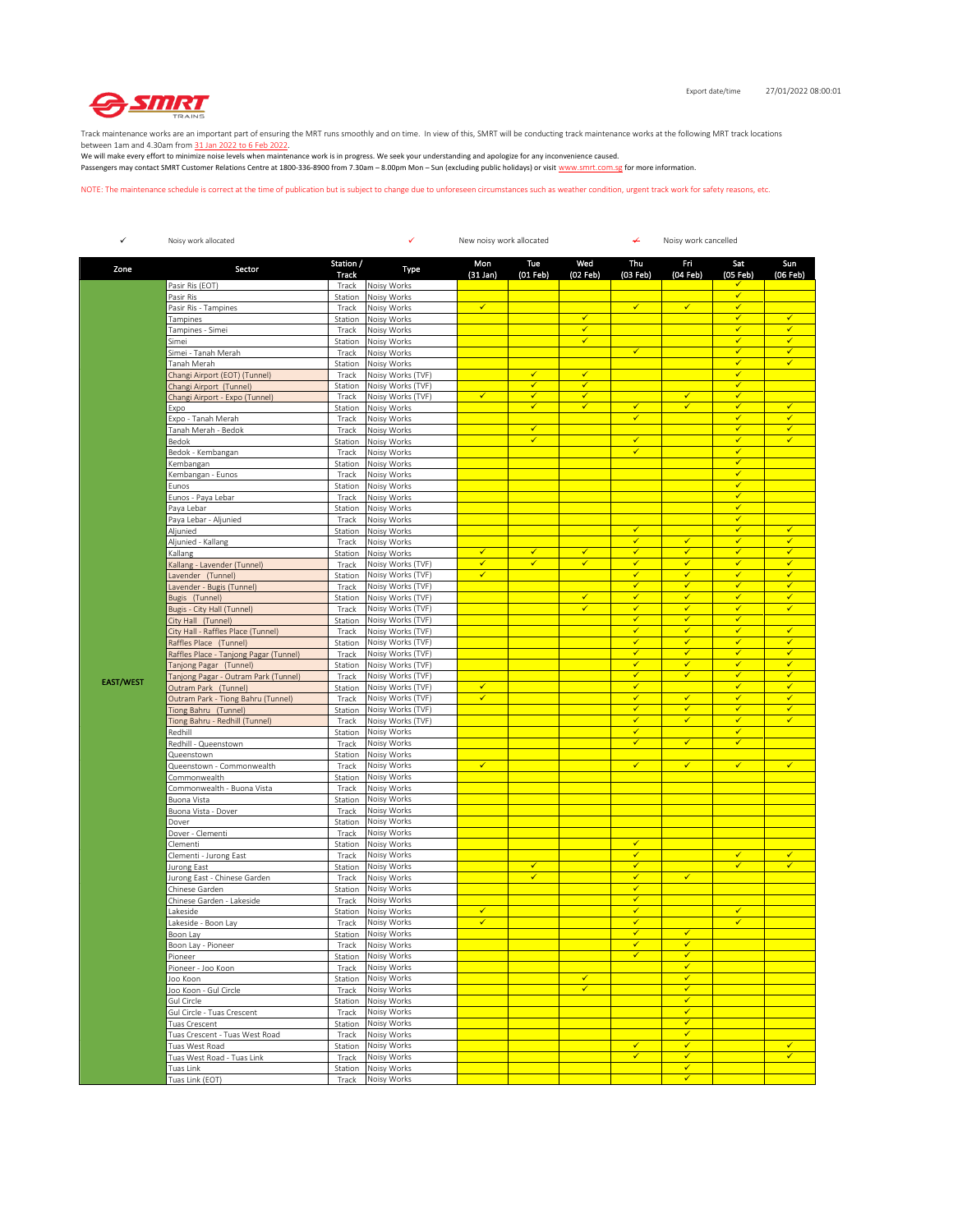

Track maintenance works are an important part of ensuring the MRT runs smoothly and on time. In view of this, SMRT will be conducting track maintenance works at the following MRT track locations

between 1am and 4.30am from <u>31 Jan 2022 to 6 Feb 2022</u>.<br>We will make every effort to minimize noise levels when maintenance work is in progress. We seek your understanding and apologize for any inconvenience caused. Passengers may contact SMRT Customer Relations Centre at 1800-336-8900 from 7.30am – 8.00pm Mon – Sun (excluding public holidays) or visit www.smrt.com.sg for more information.

NOTE: The maintenance schedule is correct at the time of publication but is subject to change due to unforeseen circumstances such as weather condition, urgent track work for safety reasons, etc.

| ✓                | Noisy work allocated                                       |                    | ✓<br>¥<br>New noisy work allocated<br>Noisy work cancelled |                 |                         |                   |                              |                   |                              |                                         |
|------------------|------------------------------------------------------------|--------------------|------------------------------------------------------------|-----------------|-------------------------|-------------------|------------------------------|-------------------|------------------------------|-----------------------------------------|
| Zone             | Sector                                                     | Station /<br>Track | Type                                                       | Mon<br>(31 Jan) | Tue<br>$(01$ Feb)       | Wed<br>(02 Feb)   | Thu<br>(03 Feb)              | Fri<br>(04 Feb)   | Sat<br>(05 Feb)              | Sun<br>(06 Feb)                         |
|                  | Pasir Ris (EOT)                                            | Track              | Noisy Works                                                |                 |                         |                   |                              |                   | ✓                            |                                         |
|                  | Pasir Ris                                                  | Station            | Noisy Works                                                |                 |                         |                   |                              |                   | $\checkmark$                 |                                         |
|                  | Pasir Ris - Tampines                                       | Track              | Noisy Works                                                | $\checkmark$    |                         |                   | $\checkmark$                 | $\checkmark$      | $\checkmark$                 |                                         |
|                  | Tampines                                                   | Station            | Noisy Works                                                |                 |                         | $\checkmark$      |                              |                   | $\checkmark$                 | $\sqrt{}$<br>$\checkmark$               |
|                  | Tampines - Simei<br>Simei                                  | Track<br>Station   | Noisy Works<br>Noisy Works                                 |                 |                         | ✓<br>$\checkmark$ |                              |                   | ✓<br>$\checkmark$            | $\overline{\checkmark}$                 |
|                  | Simei - Tanah Merah                                        | Track              | Noisy Works                                                |                 |                         |                   | $\checkmark$                 |                   | $\checkmark$                 | $\checkmark$                            |
|                  | Tanah Merah                                                | Station            | Noisy Works                                                |                 |                         |                   |                              |                   | $\checkmark$                 | $\checkmark$                            |
|                  | Changi Airport (EOT) (Tunnel)                              | Track              | Noisy Works (TVF)                                          |                 | $\checkmark$            | $\checkmark$      |                              |                   | $\checkmark$                 |                                         |
|                  | Changi Airport (Tunnel)                                    | Station            | Noisy Works (TVF)                                          |                 | ✓                       | $\checkmark$      |                              |                   | $\checkmark$                 |                                         |
|                  | Changi Airport - Expo (Tunnel)                             | Track              | Noisy Works (TVF)                                          | $\checkmark$    | $\checkmark$            | $\checkmark$      |                              | $\checkmark$      | $\checkmark$                 |                                         |
|                  | Expo                                                       | Station            | Noisy Works                                                |                 | $\checkmark$            | $\checkmark$      | $\checkmark$                 | $\checkmark$      | ✓                            | $\checkmark$                            |
|                  | Expo - Tanah Merah                                         | Track              | Noisy Works                                                |                 | $\checkmark$            |                   | ✓                            |                   | $\checkmark$<br>✓            | ✓<br>$\overline{\checkmark}$            |
|                  | Tanah Merah - Bedok<br>Bedok                               | Track<br>Station   | Noisy Works<br>Noisy Works                                 |                 | $\checkmark$            |                   | $\checkmark$                 |                   | $\checkmark$                 | $\checkmark$                            |
|                  | Bedok - Kembangan                                          | Track              | Noisy Works                                                |                 |                         |                   | $\checkmark$                 |                   | $\checkmark$                 |                                         |
|                  | Kembangan                                                  | Station            | Noisy Works                                                |                 |                         |                   |                              |                   | $\checkmark$                 |                                         |
|                  | Kembangan - Eunos                                          | Track              | Noisy Works                                                |                 |                         |                   |                              |                   | $\checkmark$                 |                                         |
|                  | Eunos                                                      | Station            | Noisy Works                                                |                 |                         |                   |                              |                   | $\checkmark$                 |                                         |
|                  | Eunos - Paya Lebar                                         | Track              | Noisy Works                                                |                 |                         |                   |                              |                   | $\checkmark$                 |                                         |
|                  | Paya Lebar                                                 | Station            | Noisy Works                                                |                 |                         |                   |                              |                   | $\checkmark$                 |                                         |
|                  | Paya Lebar - Aljunied                                      | Track              | Noisy Works                                                |                 |                         |                   |                              |                   | ✓                            |                                         |
|                  | Aljunied                                                   | Station            | Noisy Works                                                |                 |                         |                   | ✓                            |                   | $\checkmark$                 | $\checkmark$                            |
|                  | Aljunied - Kallang                                         | Track              | Noisy Works                                                | $\checkmark$    | $\checkmark$            | $\checkmark$      | $\checkmark$<br>$\checkmark$ | $\checkmark$<br>✓ | $\checkmark$<br>$\checkmark$ | $\overline{\checkmark}$<br>$\checkmark$ |
|                  | Kallang<br>Kallang - Lavender (Tunnel)                     | Station<br>Track   | Noisy Works<br>Noisy Works (TVF)                           | $\checkmark$    | $\checkmark$            | $\checkmark$      | $\checkmark$                 | $\checkmark$      | $\checkmark$                 | $\checkmark$                            |
|                  | Lavender (Tunnel)                                          | Station            | Noisy Works (TVF)                                          | $\checkmark$    |                         |                   | $\checkmark$                 | $\checkmark$      | $\checkmark$                 | ✓                                       |
|                  | Lavender - Bugis (Tunnel)                                  | Track              | Noisy Works (TVF)                                          |                 |                         |                   | ✓                            | ✔                 | $\checkmark$                 | ✓                                       |
|                  | Bugis (Tunnel)                                             | Station            | Noisy Works (TVF)                                          |                 |                         | $\checkmark$      | $\checkmark$                 | $\checkmark$      | $\checkmark$                 | $\checkmark$                            |
|                  | Bugis - City Hall (Tunnel)                                 | Track              | Noisy Works (TVF)                                          |                 |                         | $\checkmark$      | $\checkmark$                 | ✓                 | $\checkmark$                 | $\checkmark$                            |
|                  | City Hall (Tunnel)                                         | Station            | Noisy Works (TVF)                                          |                 |                         |                   | $\checkmark$                 | $\checkmark$      | $\checkmark$                 |                                         |
|                  | City Hall - Raffles Place (Tunnel)                         | Track              | Noisy Works (TVF)                                          |                 |                         |                   | $\checkmark$                 | $\checkmark$      | $\checkmark$                 | ✓                                       |
|                  | Raffles Place (Tunnel)                                     | Station            | Noisy Works (TVF)                                          |                 |                         |                   | ✓                            | ✓                 | $\checkmark$                 | $\checkmark$                            |
|                  | Raffles Place - Tanjong Pagar (Tunnel)                     | Track              | Noisy Works (TVF)                                          |                 |                         |                   | $\checkmark$                 | $\checkmark$      | $\checkmark$                 | $\checkmark$                            |
|                  | Tanjong Pagar (Tunnel)                                     | Station            | Noisy Works (TVF)                                          |                 |                         |                   | $\checkmark$                 | ✓                 | $\checkmark$                 | $\checkmark$                            |
| <b>EAST/WEST</b> | Tanjong Pagar - Outram Park (Tunnel)                       | Track              | Noisy Works (TVF)                                          | $\checkmark$    |                         |                   | $\checkmark$<br>$\checkmark$ | $\checkmark$      | $\checkmark$<br>$\checkmark$ | $\checkmark$<br>$\checkmark$            |
|                  | Outram Park (Tunnel)<br>Outram Park - Tiong Bahru (Tunnel) | Station<br>Track   | Noisy Works (TVF)<br>Noisy Works (TVF)                     | ✓               |                         |                   | ✓                            | ✓                 | ✓                            | ✓                                       |
|                  | Tiong Bahru (Tunnel)                                       | Station            | Noisy Works (TVF)                                          |                 |                         |                   | $\checkmark$                 | $\checkmark$      | $\checkmark$                 | $\checkmark$                            |
|                  | Tiong Bahru - Redhill (Tunnel)                             | Track              | Noisy Works (TVF)                                          |                 |                         |                   | $\checkmark$                 | ✓                 | $\checkmark$                 | $\checkmark$                            |
|                  | Redhill                                                    | Station            | Noisy Works                                                |                 |                         |                   | $\checkmark$                 |                   | $\checkmark$                 |                                         |
|                  | Redhill - Queenstown                                       | Track              | Noisy Works                                                |                 |                         |                   | $\checkmark$                 | $\checkmark$      | $\checkmark$                 |                                         |
|                  | Queenstown                                                 | Station            | Noisy Works                                                |                 |                         |                   |                              |                   |                              |                                         |
|                  | Queenstown - Commonwealth                                  | Track              | Noisy Works                                                | $\checkmark$    |                         |                   | $\checkmark$                 | $\checkmark$      | $\checkmark$                 | $\checkmark$                            |
|                  | Commonwealth                                               | Station            | Noisy Works                                                |                 |                         |                   |                              |                   |                              |                                         |
|                  | Commonwealth - Buona Vista<br>Buona Vista                  | Track<br>Station   | Noisy Works<br>Noisy Works                                 |                 |                         |                   |                              |                   |                              |                                         |
|                  | Buona Vista - Dover                                        | Track              | Noisy Works                                                |                 |                         |                   |                              |                   |                              |                                         |
|                  | Dover                                                      | Station            | Noisy Works                                                |                 |                         |                   |                              |                   |                              |                                         |
|                  | Dover - Clementi                                           | Track              | Noisy Works                                                |                 |                         |                   |                              |                   |                              |                                         |
|                  | Clementi                                                   | Station            | Noisy Works                                                |                 |                         |                   | $\checkmark$                 |                   |                              |                                         |
|                  | Clementi - Jurong East                                     | Track              | Noisy Works                                                |                 |                         |                   | $\checkmark$                 |                   | $\checkmark$                 | $\checkmark$                            |
|                  | Jurong East                                                | Station            | Noisy Works                                                |                 | ✓                       |                   | ✓                            |                   | ✓                            | ✓                                       |
|                  | Jurong East - Chinese Garden                               | Track              | Noisy Works                                                |                 | $\overline{\checkmark}$ |                   | $\checkmark$<br>$\checkmark$ | $\checkmark$      |                              |                                         |
|                  | Chinese Garden                                             | Station            | Noisy Works                                                |                 |                         |                   | $\checkmark$                 |                   |                              |                                         |
|                  | Chinese Garden - Lakeside<br>Lakeside                      | Track<br>Station   | Noisy Works<br>Noisy Works                                 | ✓               |                         |                   | $\checkmark$                 |                   | $\checkmark$                 |                                         |
|                  | Lakeside - Boon Lay                                        | Track              | Noisy Works                                                | ✓               |                         |                   | ✓                            |                   | $\checkmark$                 |                                         |
|                  | Boon Lay                                                   | Station            | Noisy Works                                                |                 |                         |                   |                              |                   |                              |                                         |
|                  | Boon Lay - Pioneer                                         | Track              | Noisy Works                                                |                 |                         |                   | $\checkmark$                 | ✓                 |                              |                                         |
|                  | Pioneer                                                    | Station            | Noisy Works                                                |                 |                         |                   | ✓                            | $\checkmark$      |                              |                                         |
|                  | Pioneer - Joo Koon                                         | Track              | Noisy Works                                                |                 |                         |                   |                              | $\checkmark$      |                              |                                         |
|                  | Joo Koon                                                   | Station            | Noisy Works                                                |                 |                         | ✓                 |                              | ✓                 |                              |                                         |
|                  | Joo Koon - Gul Circle                                      | Track              | Noisy Works                                                |                 |                         | $\checkmark$      |                              | $\checkmark$<br>✓ |                              |                                         |
|                  | Gul Circle                                                 | Station            | Noisy Works<br>Noisy Works                                 |                 |                         |                   |                              | $\checkmark$      |                              |                                         |
|                  | Gul Circle - Tuas Crescent<br>Tuas Crescent                | Track<br>Station   | Noisy Works                                                |                 |                         |                   |                              | $\checkmark$      |                              |                                         |
|                  | Tuas Crescent - Tuas West Road                             | Track              | Noisy Works                                                |                 |                         |                   |                              | ✓                 |                              |                                         |
|                  | Tuas West Road                                             | Station            | Noisy Works                                                |                 |                         |                   | $\checkmark$                 | $\checkmark$      |                              | $\checkmark$                            |
|                  | Tuas West Road - Tuas Link                                 | Track              | Noisy Works                                                |                 |                         |                   | $\checkmark$                 | ✓                 |                              | $\checkmark$                            |
|                  | Tuas Link                                                  | Station            | Noisy Works                                                |                 |                         |                   |                              | $\checkmark$      |                              |                                         |
|                  | Tuas Link (EOT)                                            | Track              | Noisy Works                                                |                 |                         |                   |                              | $\checkmark$      |                              |                                         |